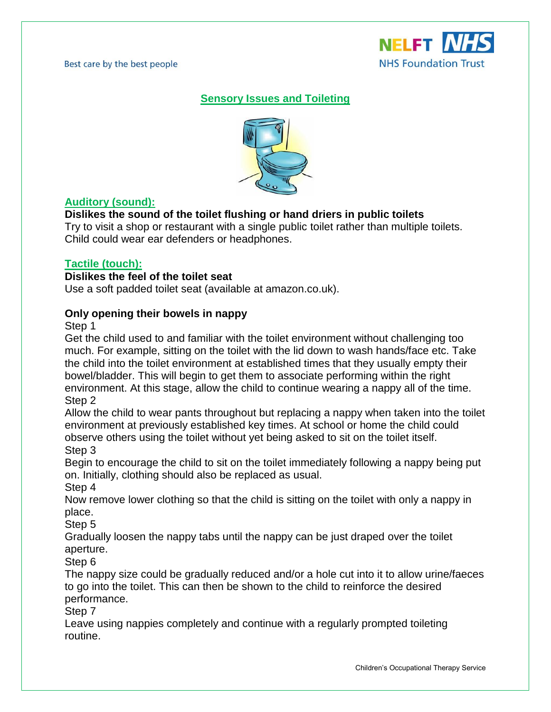Best care by the best people



## **Sensory Issues and Toileting**



## **Auditory (sound):**

## **Dislikes the sound of the toilet flushing or hand driers in public toilets**

Try to visit a shop or restaurant with a single public toilet rather than multiple toilets. Child could wear ear defenders or headphones.

### **Tactile (touch):**

#### **Dislikes the feel of the toilet seat**

Use a soft padded toilet seat (available at amazon.co.uk).

### **Only opening their bowels in nappy**

Step 1

Get the child used to and familiar with the toilet environment without challenging too much. For example, sitting on the toilet with the lid down to wash hands/face etc. Take the child into the toilet environment at established times that they usually empty their bowel/bladder. This will begin to get them to associate performing within the right environment. At this stage, allow the child to continue wearing a nappy all of the time. Step 2

Allow the child to wear pants throughout but replacing a nappy when taken into the toilet environment at previously established key times. At school or home the child could observe others using the toilet without yet being asked to sit on the toilet itself. Step 3

Begin to encourage the child to sit on the toilet immediately following a nappy being put on. Initially, clothing should also be replaced as usual.

Step 4

Now remove lower clothing so that the child is sitting on the toilet with only a nappy in place.

Step 5

Gradually loosen the nappy tabs until the nappy can be just draped over the toilet aperture.

Step 6

The nappy size could be gradually reduced and/or a hole cut into it to allow urine/faeces to go into the toilet. This can then be shown to the child to reinforce the desired performance.

Step 7

Leave using nappies completely and continue with a regularly prompted toileting routine.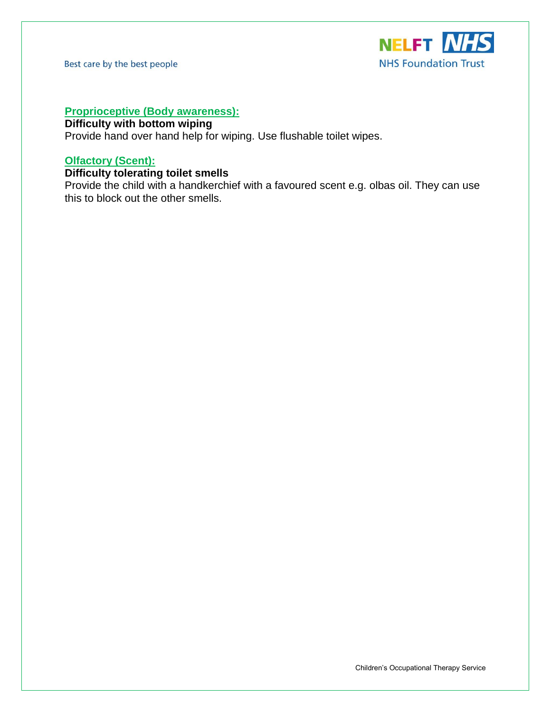Best care by the best people



## **Proprioceptive (Body awareness):**

## **Difficulty with bottom wiping**

Provide hand over hand help for wiping. Use flushable toilet wipes.

### **Olfactory (Scent):**

## **Difficulty tolerating toilet smells**

Provide the child with a handkerchief with a favoured scent e.g. olbas oil. They can use this to block out the other smells.